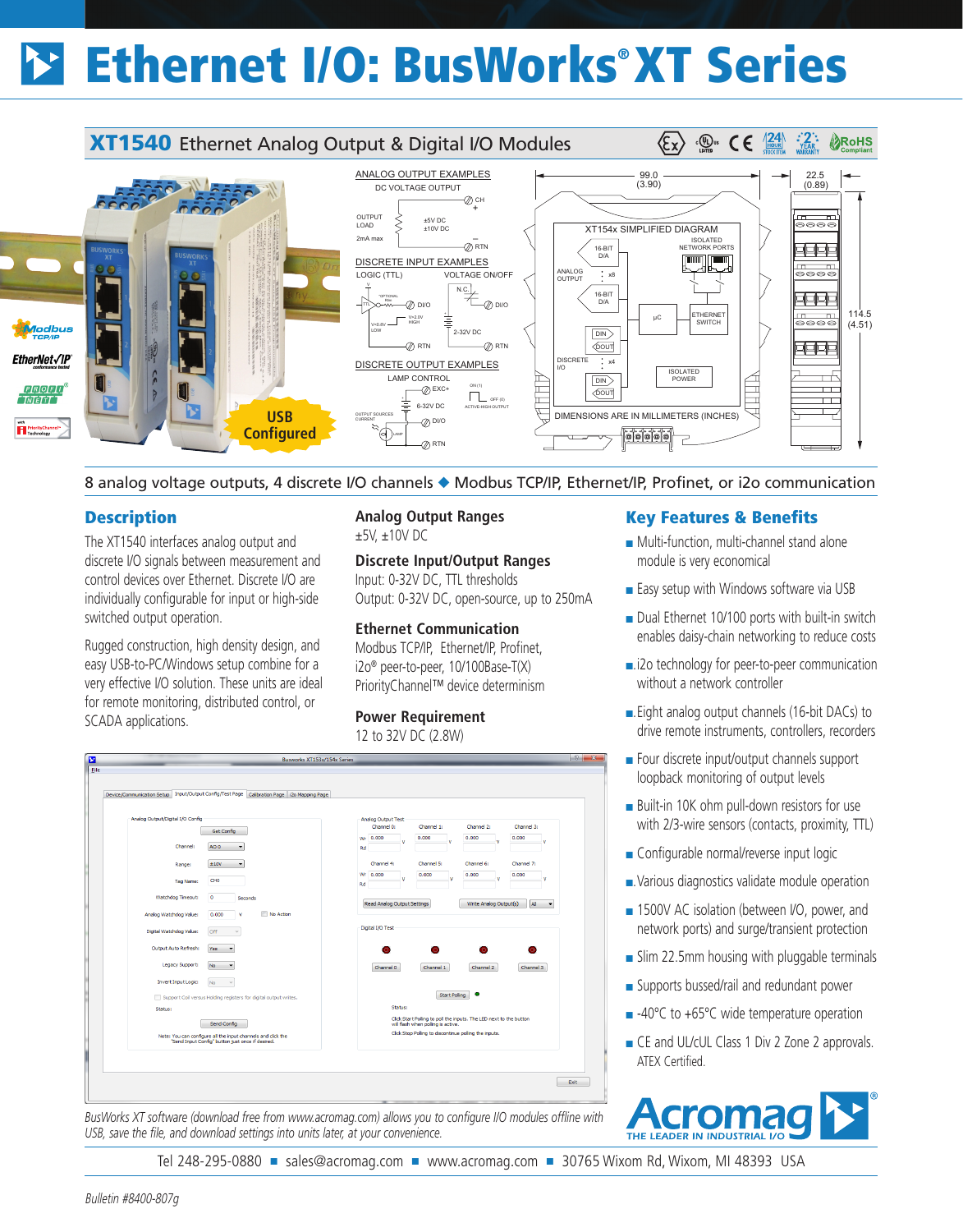# Ethernet I/O: BusWorks® XT Series



8 analog voltage outputs, 4 discrete I/O channels ◆ Modbus TCP/IP, Ethernet/IP, Profinet, or i2o communication

## **Description**

The XT1540 interfaces analog output and discrete I/O signals between measurement and control devices over Ethernet. Discrete I/O are individually configurable for input or high-side switched output operation.

Rugged construction, high density design, and easy USB-to-PC/Windows setup combine for a very effective I/O solution. These units are ideal for remote monitoring, distributed control, or SCADA applications.

## **Analog Output Ranges** ±5V, ±10V DC

**Discrete Input/Output Ranges** Input: 0-32V DC, TTL thresholds Output: 0-32V DC, open-source, up to 250mA

## **Ethernet Communication**

Modbus TCP/IP, Ethernet/IP, Profinet, i2o® peer-to-peer, 10/100Base-T(X) PriorityChannel™ device determinism

#### **Power Requirement**

12 to 32V DC (2.8W)



*BusWorks XT software (download free from www.acromag.com) allows you to configure I/O modules offline with USB, save the file, and download settings into units later, at your convenience.*

## Key Features & Benefits

- Multi-function, multi-channel stand alone module is very economical
- Easy setup with Windows software via USB
- Dual Ethernet 10/100 ports with built-in switch enables daisy-chain networking to reduce costs
- ■.i2o technology for peer-to-peer communication without a network controller
- ■. Eight analog output channels (16-bit DACs) to drive remote instruments, controllers, recorders
- Four discrete input/output channels support loopback monitoring of output levels
- Built-in 10K ohm pull-down resistors for use with 2/3-wire sensors (contacts, proximity, TTL)
- Configurable normal/reverse input logic
- ■. Various diagnostics validate module operation
- 1500V AC isolation (between I/O, power, and network ports) and surge/transient protection
- Slim 22.5mm housing with pluggable terminals
- Supports bussed/rail and redundant power
- -40°C to +65°C wide temperature operation
- CE and UL/cUL Class 1 Div 2 Zone 2 approvals. ATEX Certified.



Tel 248-295-0880 ■ sales@acromag.com ■ www.acromag.com ■ 30765 Wixom Rd, Wixom, MI 48393 USA